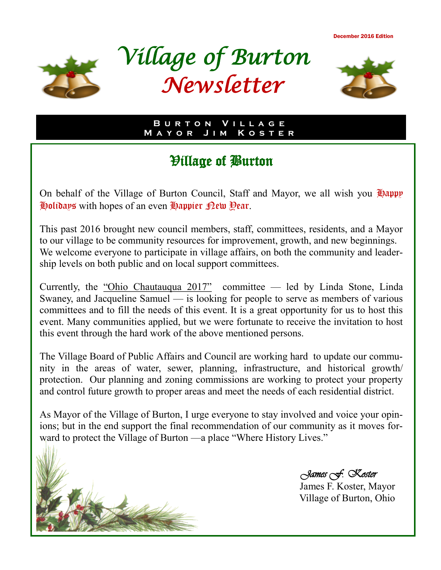December 2016 Edition







**B u r t o n V i l l a g e M a y o r J i m K o s t e r**

# Village of Burton

On behalf of the Village of Burton Council, Staff and Mayor, we all wish you  $\mathcal{L}$  $E$  is a set of an even  $E$  appier  $E$  ew Pear.

This past 2016 brought new council members, staff, committees, residents, and a Mayor to our village to be community resources for improvement, growth, and new beginnings. We welcome everyone to participate in village affairs, on both the community and leadership levels on both public and on local support committees.

Currently, the "Ohio Chautauqua 2017" committee — led by Linda Stone, Linda Swaney, and Jacqueline Samuel — is looking for people to serve as members of various committees and to fill the needs of this event. It is a great opportunity for us to host this event. Many communities applied, but we were fortunate to receive the invitation to host this event through the hard work of the above mentioned persons.

The Village Board of Public Affairs and Council are working hard to update our community in the areas of water, sewer, planning, infrastructure, and historical growth/ protection. Our planning and zoning commissions are working to protect your property and control future growth to proper areas and meet the needs of each residential district.

As Mayor of the Village of Burton, I urge everyone to stay involved and voice your opinions; but in the end support the final recommendation of our community as it moves forward to protect the Village of Burton —a place "Where History Lives."



 *James F. Koster* 

James F. Koster, Mayor Village of Burton, Ohio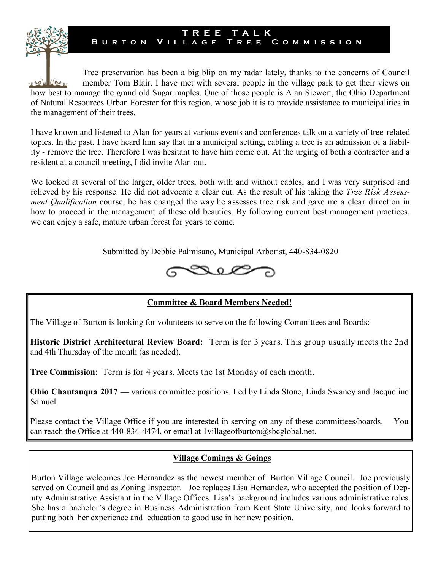Tree preservation has been a big blip on my radar lately, thanks to the concerns of Council member Tom Blair. I have met with several people in the village park to get their views on WSW WELK how best to manage the grand old Sugar maples. One of those people is Alan Siewert, the Ohio Department of Natural Resources Urban Forester for this region, whose job it is to provide assistance to municipalities in the management of their trees.

**T R E E T A L K B u r t o n V i l l a g e T r e e C o m m i s s i o n**

I have known and listened to Alan for years at various events and conferences talk on a variety of tree-related topics. In the past, I have heard him say that in a municipal setting, cabling a tree is an admission of a liability - remove the tree. Therefore I was hesitant to have him come out. At the urging of both a contractor and a resident at a council meeting, I did invite Alan out.

We looked at several of the larger, older trees, both with and without cables, and I was very surprised and relieved by his response. He did not advocate a clear cut. As the result of his taking the *Tree Risk Assessment Qualification* course, he has changed the way he assesses tree risk and gave me a clear direction in how to proceed in the management of these old beauties. By following current best management practices, we can enjoy a safe, mature urban forest for years to come.

Submitted by Debbie Palmisano, Municipal Arborist, 440-834-0820



### **Committee & Board Members Needed!**

The Village of Burton is looking for volunteers to serve on the following Committees and Boards:

**Historic District Architectural Review Board:** Term is for 3 years. This group usually meets the 2nd and 4th Thursday of the month (as needed).

**Tree Commission**: Term is for 4 years. Meets the 1st Monday of each month.

**Ohio Chautauqua 2017** — various committee positions. Led by Linda Stone, Linda Swaney and Jacqueline Samuel.

Please contact the Village Office if you are interested in serving on any of these committees/boards. You can reach the Office at 440-834-4474, or email at 1villageofburton@sbcglobal.net.

#### **Village Comings & Goings**

Burton Village welcomes Joe Hernandez as the newest member of Burton Village Council. Joe previously served on Council and as Zoning Inspector. Joe replaces Lisa Hernandez, who accepted the position of Deputy Administrative Assistant in the Village Offices. Lisa's background includes various administrative roles. She has a bachelor's degree in Business Administration from Kent State University, and looks forward to putting both her experience and education to good use in her new position.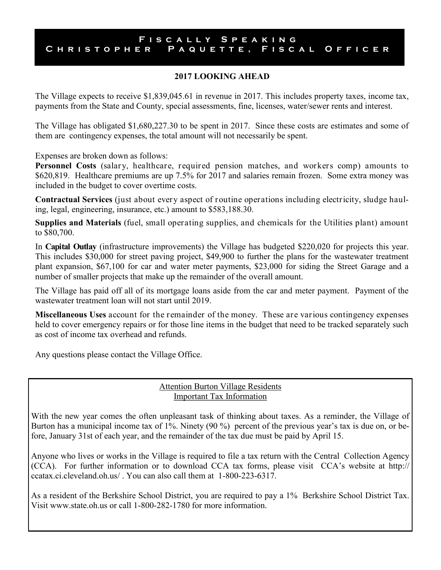#### **F i s c a l l y S p e a k i n g** C H R I S T O P H E R P A Q U E T T E , F I S C A L O F F I C E R

#### **2017 LOOKING AHEAD**

The Village expects to receive \$1,839,045.61 in revenue in 2017. This includes property taxes, income tax, payments from the State and County, special assessments, fine, licenses, water/sewer rents and interest.

The Village has obligated \$1,680,227.30 to be spent in 2017. Since these costs are estimates and some of them are contingency expenses, the total amount will not necessarily be spent.

Expenses are broken down as follows:

**Personnel Costs** (salary, healthcare, required pension matches, and workers comp) amounts to \$620,819. Healthcare premiums are up 7.5% for 2017 and salaries remain frozen. Some extra money was included in the budget to cover overtime costs.

**Contractual Services** (just about every aspect of routine operations including electricity, sludge hauling, legal, engineering, insurance, etc.) amount to \$583,188.30.

**Supplies and Materials** (fuel, small operating supplies, and chemicals for the Utilities plant) amount to \$80,700.

In **Capital Outlay** (infrastructure improvements) the Village has budgeted \$220,020 for projects this year. This includes \$30,000 for street paving project, \$49,900 to further the plans for the wastewater treatment plant expansion, \$67,100 for car and water meter payments, \$23,000 for siding the Street Garage and a number of smaller projects that make up the remainder of the overall amount.

The Village has paid off all of its mortgage loans aside from the car and meter payment. Payment of the wastewater treatment loan will not start until 2019.

**Miscellaneous Uses** account for the remainder of the money. These are various contingency expenses held to cover emergency repairs or for those line items in the budget that need to be tracked separately such as cost of income tax overhead and refunds.

Any questions please contact the Village Office.

#### Attention Burton Village Residents Important Tax Information

With the new year comes the often unpleasant task of thinking about taxes. As a reminder, the Village of Burton has a municipal income tax of 1%. Ninety (90 %) percent of the previous year's tax is due on, or before, January 31st of each year, and the remainder of the tax due must be paid by April 15.

Anyone who lives or works in the Village is required to file a tax return with the Central Collection Agency (CCA). For further information or to download CCA tax forms, please visit CCA's website at http:// ccatax.ci.cleveland.oh.us/ . You can also call them at 1-800-223-6317.

As a resident of the Berkshire School District, you are required to pay a 1% Berkshire School District Tax. Visit www.state.oh.us or call 1-800-282-1780 for more information.